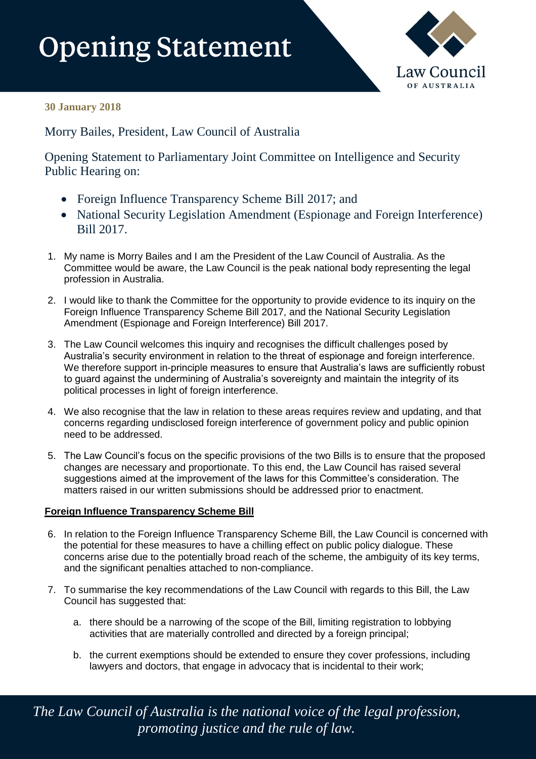# **Opening Statement**



## **30 January 2018**

Morry Bailes, President, Law Council of Australia

Opening Statement to Parliamentary Joint Committee on Intelligence and Security Public Hearing on:

- Foreign Influence Transparency Scheme Bill 2017; and
- National Security Legislation Amendment (Espionage and Foreign Interference) Bill 2017.
- 1. My name is Morry Bailes and I am the President of the Law Council of Australia. As the Committee would be aware, the Law Council is the peak national body representing the legal profession in Australia.
- 2. I would like to thank the Committee for the opportunity to provide evidence to its inquiry on the Foreign Influence Transparency Scheme Bill 2017, and the National Security Legislation Amendment (Espionage and Foreign Interference) Bill 2017.
- 3. The Law Council welcomes this inquiry and recognises the difficult challenges posed by Australia's security environment in relation to the threat of espionage and foreign interference. We therefore support in-principle measures to ensure that Australia's laws are sufficiently robust to guard against the undermining of Australia's sovereignty and maintain the integrity of its political processes in light of foreign interference.
- 4. We also recognise that the law in relation to these areas requires review and updating, and that concerns regarding undisclosed foreign interference of government policy and public opinion need to be addressed.
- 5. The Law Council's focus on the specific provisions of the two Bills is to ensure that the proposed changes are necessary and proportionate. To this end, the Law Council has raised several suggestions aimed at the improvement of the laws for this Committee's consideration. The matters raised in our written submissions should be addressed prior to enactment.

### **Foreign Influence Transparency Scheme Bill**

- 6. In relation to the Foreign Influence Transparency Scheme Bill, the Law Council is concerned with the potential for these measures to have a chilling effect on public policy dialogue. These concerns arise due to the potentially broad reach of the scheme, the ambiguity of its key terms, and the significant penalties attached to non-compliance.
- 7. To summarise the key recommendations of the Law Council with regards to this Bill, the Law Council has suggested that:
	- a. there should be a narrowing of the scope of the Bill, limiting registration to lobbying activities that are materially controlled and directed by a foreign principal;
	- b. the current exemptions should be extended to ensure they cover professions, including lawyers and doctors, that engage in advocacy that is incidental to their work;

*The Law Council of Australia is the national voice of the legal profession, promoting justice and the rule of law.*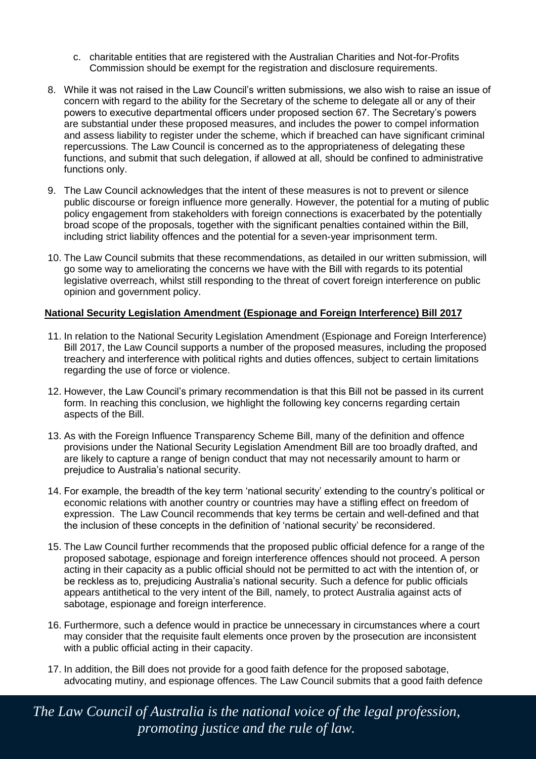- c. charitable entities that are registered with the Australian Charities and Not-for-Profits Commission should be exempt for the registration and disclosure requirements.
- 8. While it was not raised in the Law Council's written submissions, we also wish to raise an issue of concern with regard to the ability for the Secretary of the scheme to delegate all or any of their powers to executive departmental officers under proposed section 67. The Secretary's powers are substantial under these proposed measures, and includes the power to compel information and assess liability to register under the scheme, which if breached can have significant criminal repercussions. The Law Council is concerned as to the appropriateness of delegating these functions, and submit that such delegation, if allowed at all, should be confined to administrative functions only.
- 9. The Law Council acknowledges that the intent of these measures is not to prevent or silence public discourse or foreign influence more generally. However, the potential for a muting of public policy engagement from stakeholders with foreign connections is exacerbated by the potentially broad scope of the proposals, together with the significant penalties contained within the Bill, including strict liability offences and the potential for a seven-year imprisonment term.
- 10. The Law Council submits that these recommendations, as detailed in our written submission, will go some way to ameliorating the concerns we have with the Bill with regards to its potential legislative overreach, whilst still responding to the threat of covert foreign interference on public opinion and government policy.

### **National Security Legislation Amendment (Espionage and Foreign Interference) Bill 2017**

- 11. In relation to the National Security Legislation Amendment (Espionage and Foreign Interference) Bill 2017, the Law Council supports a number of the proposed measures, including the proposed treachery and interference with political rights and duties offences, subject to certain limitations regarding the use of force or violence.
- 12. However, the Law Council's primary recommendation is that this Bill not be passed in its current form. In reaching this conclusion, we highlight the following key concerns regarding certain aspects of the Bill.
- 13. As with the Foreign Influence Transparency Scheme Bill, many of the definition and offence provisions under the National Security Legislation Amendment Bill are too broadly drafted, and are likely to capture a range of benign conduct that may not necessarily amount to harm or prejudice to Australia's national security.
- 14. For example, the breadth of the key term 'national security' extending to the country's political or economic relations with another country or countries may have a stifling effect on freedom of expression. The Law Council recommends that key terms be certain and well-defined and that the inclusion of these concepts in the definition of 'national security' be reconsidered.
- 15. The Law Council further recommends that the proposed public official defence for a range of the proposed sabotage, espionage and foreign interference offences should not proceed. A person acting in their capacity as a public official should not be permitted to act with the intention of, or be reckless as to, prejudicing Australia's national security. Such a defence for public officials appears antithetical to the very intent of the Bill, namely, to protect Australia against acts of sabotage, espionage and foreign interference.
- 16. Furthermore, such a defence would in practice be unnecessary in circumstances where a court may consider that the requisite fault elements once proven by the prosecution are inconsistent with a public official acting in their capacity.
- 17. In addition, the Bill does not provide for a good faith defence for the proposed sabotage, advocating mutiny, and espionage offences. The Law Council submits that a good faith defence

*The Law Council of Australia is the national voice of the legal profession, promoting justice and the rule of law.*